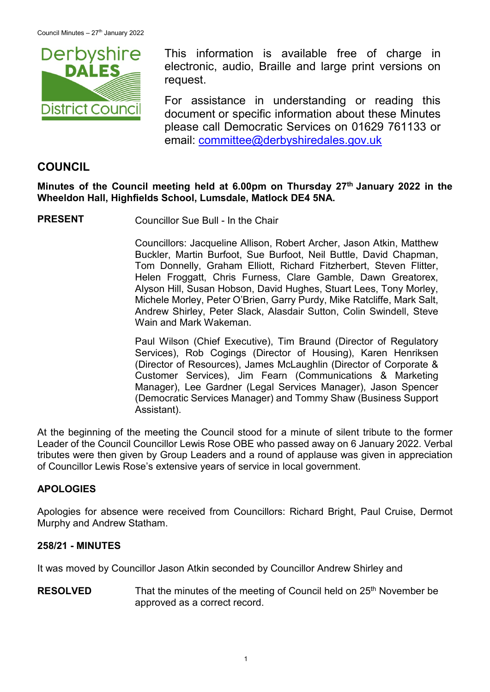

This information is available free of charge in electronic, audio, Braille and large print versions on request.

For assistance in understanding or reading this document or specific information about these Minutes please call Democratic Services on 01629 761133 or email: [committee@derbyshiredales.gov.uk](mailto:brian.evans@derbyshiredales.gov.uk)

# **COUNCIL**

**Minutes of the Council meeting held at 6.00pm on Thursday 27th January 2022 in the Wheeldon Hall, Highfields School, Lumsdale, Matlock DE4 5NA.**

**PRESENT** Councillor Sue Bull - In the Chair

Councillors: Jacqueline Allison, Robert Archer, Jason Atkin, Matthew Buckler, Martin Burfoot, Sue Burfoot, Neil Buttle, David Chapman, Tom Donnelly, Graham Elliott, Richard Fitzherbert, Steven Flitter, Helen Froggatt, Chris Furness, Clare Gamble, Dawn Greatorex, Alyson Hill, Susan Hobson, David Hughes, Stuart Lees, Tony Morley, Michele Morley, Peter O'Brien, Garry Purdy, Mike Ratcliffe, Mark Salt, Andrew Shirley, Peter Slack, Alasdair Sutton, Colin Swindell, Steve Wain and Mark Wakeman.

Paul Wilson (Chief Executive), Tim Braund (Director of Regulatory Services), Rob Cogings (Director of Housing), Karen Henriksen (Director of Resources), James McLaughlin (Director of Corporate & Customer Services), Jim Fearn (Communications & Marketing Manager), Lee Gardner (Legal Services Manager), Jason Spencer (Democratic Services Manager) and Tommy Shaw (Business Support Assistant).

At the beginning of the meeting the Council stood for a minute of silent tribute to the former Leader of the Council Councillor Lewis Rose OBE who passed away on 6 January 2022. Verbal tributes were then given by Group Leaders and a round of applause was given in appreciation of Councillor Lewis Rose's extensive years of service in local government.

# **APOLOGIES**

Apologies for absence were received from Councillors: Richard Bright, Paul Cruise, Dermot Murphy and Andrew Statham.

#### **258/21 - MINUTES**

It was moved by Councillor Jason Atkin seconded by Councillor Andrew Shirley and

**RESOLVED** That the minutes of the meeting of Council held on 25<sup>th</sup> November be approved as a correct record.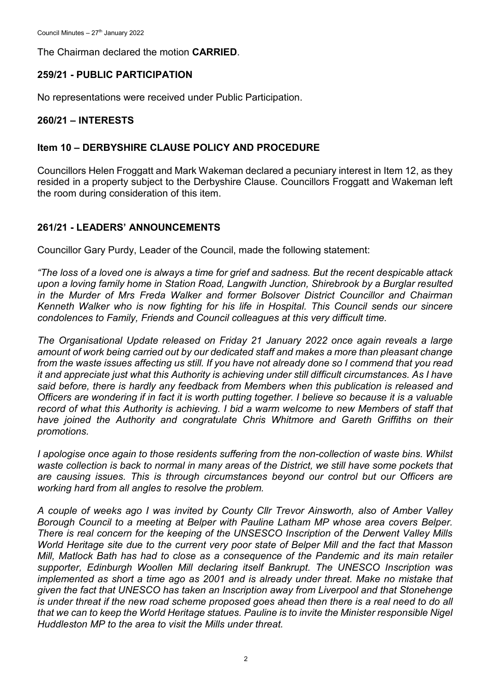The Chairman declared the motion **CARRIED**.

# **259/21 - PUBLIC PARTICIPATION**

No representations were received under Public Participation.

#### **260/21 – INTERESTS**

#### **Item 10 – DERBYSHIRE CLAUSE POLICY AND PROCEDURE**

Councillors Helen Froggatt and Mark Wakeman declared a pecuniary interest in Item 12, as they resided in a property subject to the Derbyshire Clause. Councillors Froggatt and Wakeman left the room during consideration of this item.

# **261/21 - LEADERS' ANNOUNCEMENTS**

Councillor Gary Purdy, Leader of the Council, made the following statement:

*"The loss of a loved one is always a time for grief and sadness. But the recent despicable attack upon a loving family home in Station Road, Langwith Junction, Shirebrook by a Burglar resulted in the Murder of Mrs Freda Walker and former Bolsover District Councillor and Chairman Kenneth Walker who is now fighting for his life in Hospital. This Council sends our sincere condolences to Family, Friends and Council colleagues at this very difficult time.*

*The Organisational Update released on Friday 21 January 2022 once again reveals a large amount of work being carried out by our dedicated staff and makes a more than pleasant change from the waste issues affecting us still. If you have not already done so I commend that you read it and appreciate just what this Authority is achieving under still difficult circumstances. As I have said before, there is hardly any feedback from Members when this publication is released and Officers are wondering if in fact it is worth putting together. I believe so because it is a valuable record of what this Authority is achieving. I bid a warm welcome to new Members of staff that*  have joined the Authority and congratulate Chris Whitmore and Gareth Griffiths on their *promotions.*

*I apologise once again to those residents suffering from the non-collection of waste bins. Whilst*  waste collection is back to normal in many areas of the District, we still have some pockets that *are causing issues. This is through circumstances beyond our control but our Officers are working hard from all angles to resolve the problem.*

*A couple of weeks ago I was invited by County Cllr Trevor Ainsworth, also of Amber Valley Borough Council to a meeting at Belper with Pauline Latham MP whose area covers Belper. There is real concern for the keeping of the UNSESCO Inscription of the Derwent Valley Mills World Heritage site due to the current very poor state of Belper Mill and the fact that Masson Mill, Matlock Bath has had to close as a consequence of the Pandemic and its main retailer supporter, Edinburgh Woollen Mill declaring itself Bankrupt. The UNESCO Inscription was*  implemented as short a time ago as 2001 and is already under threat. Make no mistake that *given the fact that UNESCO has taken an Inscription away from Liverpool and that Stonehenge is under threat if the new road scheme proposed goes ahead then there is a real need to do all that we can to keep the World Heritage statues. Pauline is to invite the Minister responsible Nigel Huddleston MP to the area to visit the Mills under threat.*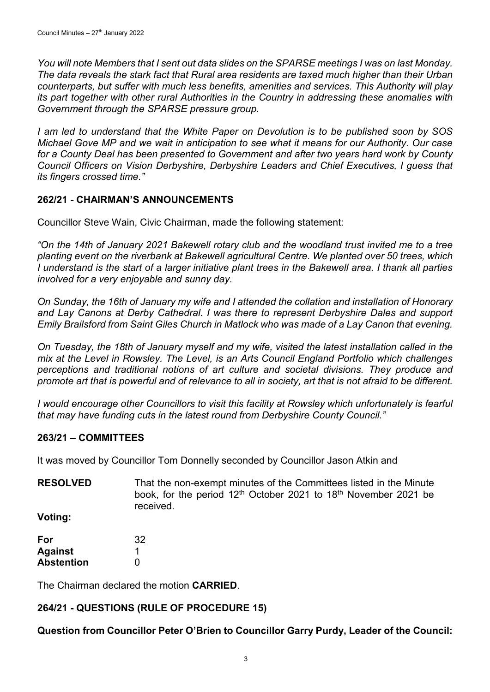*You will note Members that I sent out data slides on the SPARSE meetings I was on last Monday. The data reveals the stark fact that Rural area residents are taxed much higher than their Urban counterparts, but suffer with much less benefits, amenities and services. This Authority will play its part together with other rural Authorities in the Country in addressing these anomalies with Government through the SPARSE pressure group.*

*I am led to understand that the White Paper on Devolution is to be published soon by SOS Michael Gove MP and we wait in anticipation to see what it means for our Authority. Our case for a County Deal has been presented to Government and after two years hard work by County Council Officers on Vision Derbyshire, Derbyshire Leaders and Chief Executives, I guess that its fingers crossed time."*

## **262/21 - CHAIRMAN'S ANNOUNCEMENTS**

Councillor Steve Wain, Civic Chairman, made the following statement:

*"On the 14th of January 2021 Bakewell rotary club and the woodland trust invited me to a tree planting event on the riverbank at Bakewell agricultural Centre. We planted over 50 trees, which I understand is the start of a larger initiative plant trees in the Bakewell area. I thank all parties involved for a very enjoyable and sunny day.*

*On Sunday, the 16th of January my wife and I attended the collation and installation of Honorary and Lay Canons at Derby Cathedral. I was there to represent Derbyshire Dales and support Emily Brailsford from Saint Giles Church in Matlock who was made of a Lay Canon that evening.*

*On Tuesday, the 18th of January myself and my wife, visited the latest installation called in the mix at the Level in Rowsley. The Level, is an Arts Council England Portfolio which challenges perceptions and traditional notions of art culture and societal divisions. They produce and promote art that is powerful and of relevance to all in society, art that is not afraid to be different.*

*I would encourage other Councillors to visit this facility at Rowsley which unfortunately is fearful that may have funding cuts in the latest round from Derbyshire County Council."*

#### **263/21 – COMMITTEES**

It was moved by Councillor Tom Donnelly seconded by Councillor Jason Atkin and

**RESOLVED** That the non-exempt minutes of the Committees listed in the Minute book, for the period 12<sup>th</sup> October 2021 to 18<sup>th</sup> November 2021 be received.

**Voting:**

| For               | 32 |
|-------------------|----|
| <b>Against</b>    |    |
| <b>Abstention</b> | O  |

The Chairman declared the motion **CARRIED**.

# **264/21 - QUESTIONS (RULE OF PROCEDURE 15)**

**Question from Councillor Peter O'Brien to Councillor Garry Purdy, Leader of the Council:**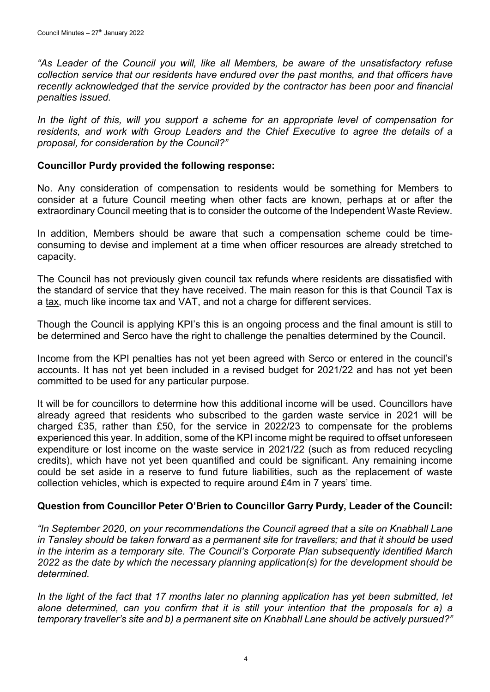*"As Leader of the Council you will, like all Members, be aware of the unsatisfactory refuse collection service that our residents have endured over the past months, and that officers have recently acknowledged that the service provided by the contractor has been poor and financial penalties issued.*

In the light of this, will you support a scheme for an appropriate level of compensation for *residents, and work with Group Leaders and the Chief Executive to agree the details of a proposal, for consideration by the Council?"*

## **Councillor Purdy provided the following response:**

No. Any consideration of compensation to residents would be something for Members to consider at a future Council meeting when other facts are known, perhaps at or after the extraordinary Council meeting that is to consider the outcome of the Independent Waste Review.

In addition, Members should be aware that such a compensation scheme could be timeconsuming to devise and implement at a time when officer resources are already stretched to capacity.

The Council has not previously given council tax refunds where residents are dissatisfied with the standard of service that they have received. The main reason for this is that Council Tax is a tax, much like income tax and VAT, and not a charge for different services.

Though the Council is applying KPI's this is an ongoing process and the final amount is still to be determined and Serco have the right to challenge the penalties determined by the Council.

Income from the KPI penalties has not yet been agreed with Serco or entered in the council's accounts. It has not yet been included in a revised budget for 2021/22 and has not yet been committed to be used for any particular purpose.

It will be for councillors to determine how this additional income will be used. Councillors have already agreed that residents who subscribed to the garden waste service in 2021 will be charged £35, rather than £50, for the service in 2022/23 to compensate for the problems experienced this year. In addition, some of the KPI income might be required to offset unforeseen expenditure or lost income on the waste service in 2021/22 (such as from reduced recycling credits), which have not yet been quantified and could be significant. Any remaining income could be set aside in a reserve to fund future liabilities, such as the replacement of waste collection vehicles, which is expected to require around £4m in 7 years' time.

#### **Question from Councillor Peter O'Brien to Councillor Garry Purdy, Leader of the Council:**

*"In September 2020, on your recommendations the Council agreed that a site on Knabhall Lane in Tansley should be taken forward as a permanent site for travellers; and that it should be used in the interim as a temporary site. The Council's Corporate Plan subsequently identified March 2022 as the date by which the necessary planning application(s) for the development should be determined.*

In the light of the fact that 17 months later no planning application has yet been submitted, let *alone determined, can you confirm that it is still your intention that the proposals for a) a temporary traveller's site and b) a permanent site on Knabhall Lane should be actively pursued?"*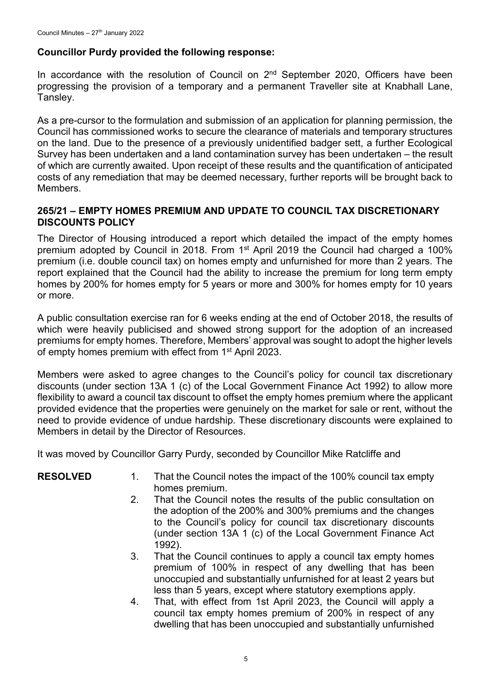## **Councillor Purdy provided the following response:**

In accordance with the resolution of Council on  $2<sup>nd</sup>$  September 2020, Officers have been progressing the provision of a temporary and a permanent Traveller site at Knabhall Lane, Tansley.

As a pre-cursor to the formulation and submission of an application for planning permission, the Council has commissioned works to secure the clearance of materials and temporary structures on the land. Due to the presence of a previously unidentified badger sett, a further Ecological Survey has been undertaken and a land contamination survey has been undertaken – the result of which are currently awaited. Upon receipt of these results and the quantification of anticipated costs of any remediation that may be deemed necessary, further reports will be brought back to Members.

#### **265/21 – EMPTY HOMES PREMIUM AND UPDATE TO COUNCIL TAX DISCRETIONARY DISCOUNTS POLICY**

The Director of Housing introduced a report which detailed the impact of the empty homes premium adopted by Council in 2018. From  $1<sup>st</sup>$  April 2019 the Council had charged a 100% premium (i.e. double council tax) on homes empty and unfurnished for more than 2 years. The report explained that the Council had the ability to increase the premium for long term empty homes by 200% for homes empty for 5 years or more and 300% for homes empty for 10 years or more.

A public consultation exercise ran for 6 weeks ending at the end of October 2018, the results of which were heavily publicised and showed strong support for the adoption of an increased premiums for empty homes. Therefore, Members' approval was sought to adopt the higher levels of empty homes premium with effect from 1<sup>st</sup> April 2023.

Members were asked to agree changes to the Council's policy for council tax discretionary discounts (under section 13A 1 (c) of the Local Government Finance Act 1992) to allow more flexibility to award a council tax discount to offset the empty homes premium where the applicant provided evidence that the properties were genuinely on the market for sale or rent, without the need to provide evidence of undue hardship. These discretionary discounts were explained to Members in detail by the Director of Resources.

It was moved by Councillor Garry Purdy, seconded by Councillor Mike Ratcliffe and

- **RESOLVED** 1. That the Council notes the impact of the 100% council tax empty homes premium.
	- 2. That the Council notes the results of the public consultation on the adoption of the 200% and 300% premiums and the changes to the Council's policy for council tax discretionary discounts (under section 13A 1 (c) of the Local Government Finance Act 1992).
	- 3. That the Council continues to apply a council tax empty homes premium of 100% in respect of any dwelling that has been unoccupied and substantially unfurnished for at least 2 years but less than 5 years, except where statutory exemptions apply.
	- 4. That, with effect from 1st April 2023, the Council will apply a council tax empty homes premium of 200% in respect of any dwelling that has been unoccupied and substantially unfurnished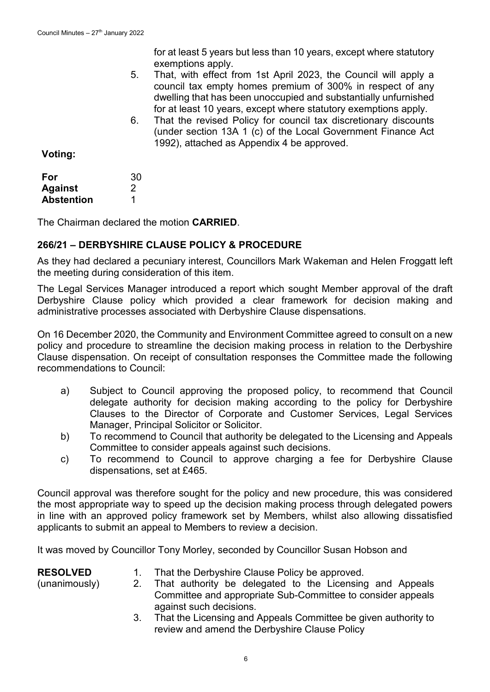|         |    | for at least 5 years but less than 10 years, except where statutory<br>exemptions apply.                                                                                                                                                                           |
|---------|----|--------------------------------------------------------------------------------------------------------------------------------------------------------------------------------------------------------------------------------------------------------------------|
|         | 5. | That, with effect from 1st April 2023, the Council will apply a<br>council tax empty homes premium of 300% in respect of any<br>dwelling that has been unoccupied and substantially unfurnished<br>for at least 10 years, except where statutory exemptions apply. |
|         | 6. | That the revised Policy for council tax discretionary discounts<br>(under section 13A 1 (c) of the Local Government Finance Act<br>1992), attached as Appendix 4 be approved.                                                                                      |
| Voting: |    |                                                                                                                                                                                                                                                                    |
| For     | 30 |                                                                                                                                                                                                                                                                    |

| For               | 30 |  |
|-------------------|----|--|
| <b>Against</b>    | 2  |  |
| <b>Abstention</b> |    |  |

The Chairman declared the motion **CARRIED**.

# **266/21 – DERBYSHIRE CLAUSE POLICY & PROCEDURE**

As they had declared a pecuniary interest, Councillors Mark Wakeman and Helen Froggatt left the meeting during consideration of this item.

The Legal Services Manager introduced a report which sought Member approval of the draft Derbyshire Clause policy which provided a clear framework for decision making and administrative processes associated with Derbyshire Clause dispensations.

On 16 December 2020, the Community and Environment Committee agreed to consult on a new policy and procedure to streamline the decision making process in relation to the Derbyshire Clause dispensation. On receipt of consultation responses the Committee made the following recommendations to Council:

- a) Subject to Council approving the proposed policy, to recommend that Council delegate authority for decision making according to the policy for Derbyshire Clauses to the Director of Corporate and Customer Services, Legal Services Manager, Principal Solicitor or Solicitor.
- b) To recommend to Council that authority be delegated to the Licensing and Appeals Committee to consider appeals against such decisions.
- c) To recommend to Council to approve charging a fee for Derbyshire Clause dispensations, set at £465.

Council approval was therefore sought for the policy and new procedure, this was considered the most appropriate way to speed up the decision making process through delegated powers in line with an approved policy framework set by Members, whilst also allowing dissatisfied applicants to submit an appeal to Members to review a decision.

It was moved by Councillor Tony Morley, seconded by Councillor Susan Hobson and

| <b>RESOLVED</b> | That the Derbyshire Clause Policy be approved.                 |
|-----------------|----------------------------------------------------------------|
| (unanimously)   | 2. That authority be delegated to the Licensing and Appeals    |
|                 | Committee and appropriate Sub-Committee to consider appeals    |
|                 | against such decisions.                                        |
|                 | That the Licensing and Appeals Committee be given authority to |

3. That the Licensing and Appeals Committee be given authority to review and amend the Derbyshire Clause Policy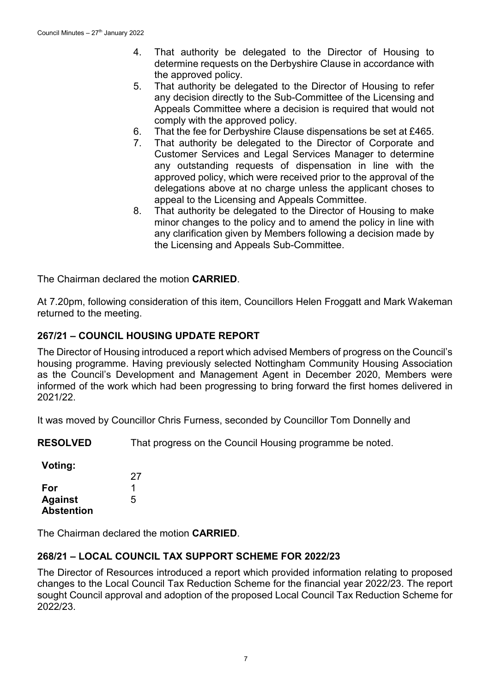- 4. That authority be delegated to the Director of Housing to determine requests on the Derbyshire Clause in accordance with the approved policy.
- 5. That authority be delegated to the Director of Housing to refer any decision directly to the Sub-Committee of the Licensing and Appeals Committee where a decision is required that would not comply with the approved policy.
- 6. That the fee for Derbyshire Clause dispensations be set at £465.
- 7. That authority be delegated to the Director of Corporate and Customer Services and Legal Services Manager to determine any outstanding requests of dispensation in line with the approved policy, which were received prior to the approval of the delegations above at no charge unless the applicant choses to appeal to the Licensing and Appeals Committee.
- 8. That authority be delegated to the Director of Housing to make minor changes to the policy and to amend the policy in line with any clarification given by Members following a decision made by the Licensing and Appeals Sub-Committee.

The Chairman declared the motion **CARRIED**.

At 7.20pm, following consideration of this item, Councillors Helen Froggatt and Mark Wakeman returned to the meeting.

## **267/21 – COUNCIL HOUSING UPDATE REPORT**

The Director of Housing introduced a report which advised Members of progress on the Council's housing programme. Having previously selected Nottingham Community Housing Association as the Council's Development and Management Agent in December 2020, Members were informed of the work which had been progressing to bring forward the first homes delivered in 2021/22.

It was moved by Councillor Chris Furness, seconded by Councillor Tom Donnelly and

**RESOLVED** That progress on the Council Housing programme be noted.

**Voting:**

|                   | 27 |
|-------------------|----|
| For               |    |
| <b>Against</b>    | 5  |
| <b>Abstention</b> |    |

The Chairman declared the motion **CARRIED**.

#### **268/21 – LOCAL COUNCIL TAX SUPPORT SCHEME FOR 2022/23**

The Director of Resources introduced a report which provided information relating to proposed changes to the Local Council Tax Reduction Scheme for the financial year 2022/23. The report sought Council approval and adoption of the proposed Local Council Tax Reduction Scheme for 2022/23.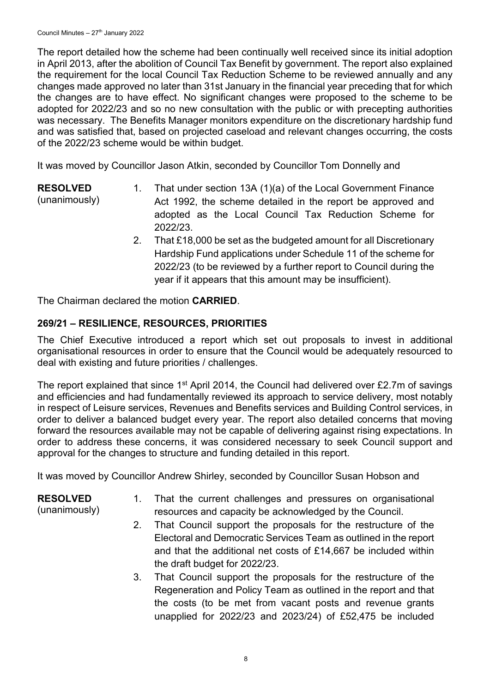The report detailed how the scheme had been continually well received since its initial adoption in April 2013, after the abolition of Council Tax Benefit by government. The report also explained the requirement for the local Council Tax Reduction Scheme to be reviewed annually and any changes made approved no later than 31st January in the financial year preceding that for which the changes are to have effect. No significant changes were proposed to the scheme to be adopted for 2022/23 and so no new consultation with the public or with precepting authorities was necessary. The Benefits Manager monitors expenditure on the discretionary hardship fund and was satisfied that, based on projected caseload and relevant changes occurring, the costs of the 2022/23 scheme would be within budget.

It was moved by Councillor Jason Atkin, seconded by Councillor Tom Donnelly and

**RESOLVED**

(unanimously)

- 1. That under section 13A (1)(a) of the Local Government Finance Act 1992, the scheme detailed in the report be approved and adopted as the Local Council Tax Reduction Scheme for 2022/23.
- 2. That £18,000 be set as the budgeted amount for all Discretionary Hardship Fund applications under Schedule 11 of the scheme for 2022/23 (to be reviewed by a further report to Council during the year if it appears that this amount may be insufficient).

The Chairman declared the motion **CARRIED**.

# **269/21 – RESILIENCE, RESOURCES, PRIORITIES**

The Chief Executive introduced a report which set out proposals to invest in additional organisational resources in order to ensure that the Council would be adequately resourced to deal with existing and future priorities / challenges.

The report explained that since 1<sup>st</sup> April 2014, the Council had delivered over £2.7m of savings and efficiencies and had fundamentally reviewed its approach to service delivery, most notably in respect of Leisure services, Revenues and Benefits services and Building Control services, in order to deliver a balanced budget every year. The report also detailed concerns that moving forward the resources available may not be capable of delivering against rising expectations. In order to address these concerns, it was considered necessary to seek Council support and approval for the changes to structure and funding detailed in this report.

It was moved by Councillor Andrew Shirley, seconded by Councillor Susan Hobson and

# **RESOLVED**

(unanimously)

- 1. That the current challenges and pressures on organisational resources and capacity be acknowledged by the Council.
- 2. That Council support the proposals for the restructure of the Electoral and Democratic Services Team as outlined in the report and that the additional net costs of £14,667 be included within the draft budget for 2022/23.
- 3. That Council support the proposals for the restructure of the Regeneration and Policy Team as outlined in the report and that the costs (to be met from vacant posts and revenue grants unapplied for 2022/23 and 2023/24) of £52,475 be included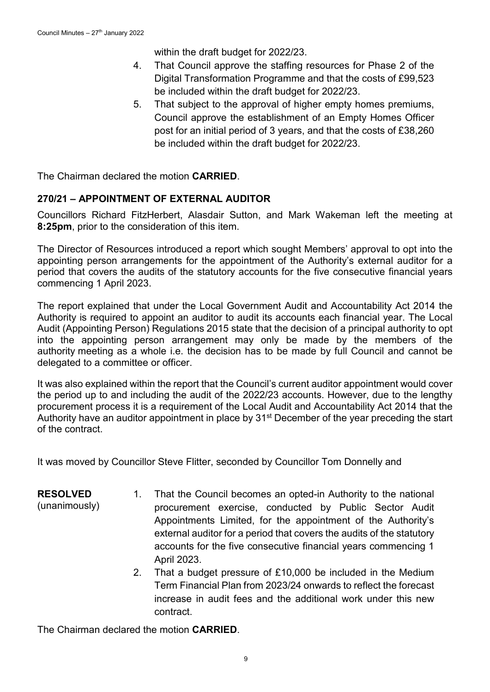within the draft budget for 2022/23.

- 4. That Council approve the staffing resources for Phase 2 of the Digital Transformation Programme and that the costs of £99,523 be included within the draft budget for 2022/23.
- 5. That subject to the approval of higher empty homes premiums, Council approve the establishment of an Empty Homes Officer post for an initial period of 3 years, and that the costs of £38,260 be included within the draft budget for 2022/23.

The Chairman declared the motion **CARRIED**.

# **270/21 – APPOINTMENT OF EXTERNAL AUDITOR**

Councillors Richard FitzHerbert, Alasdair Sutton, and Mark Wakeman left the meeting at **8:25pm**, prior to the consideration of this item.

The Director of Resources introduced a report which sought Members' approval to opt into the appointing person arrangements for the appointment of the Authority's external auditor for a period that covers the audits of the statutory accounts for the five consecutive financial years commencing 1 April 2023.

The report explained that under the Local Government Audit and Accountability Act 2014 the Authority is required to appoint an auditor to audit its accounts each financial year. The Local Audit (Appointing Person) Regulations 2015 state that the decision of a principal authority to opt into the appointing person arrangement may only be made by the members of the authority meeting as a whole i.e. the decision has to be made by full Council and cannot be delegated to a committee or officer.

It was also explained within the report that the Council's current auditor appointment would cover the period up to and including the audit of the 2022/23 accounts. However, due to the lengthy procurement process it is a requirement of the Local Audit and Accountability Act 2014 that the Authority have an auditor appointment in place by 31<sup>st</sup> December of the year preceding the start of the contract.

It was moved by Councillor Steve Flitter, seconded by Councillor Tom Donnelly and

- **RESOLVED**
- (unanimously)
- 1. That the Council becomes an opted-in Authority to the national procurement exercise, conducted by Public Sector Audit Appointments Limited, for the appointment of the Authority's external auditor for a period that covers the audits of the statutory accounts for the five consecutive financial years commencing 1 April 2023.
- 2. That a budget pressure of £10,000 be included in the Medium Term Financial Plan from 2023/24 onwards to reflect the forecast increase in audit fees and the additional work under this new contract.

The Chairman declared the motion **CARRIED**.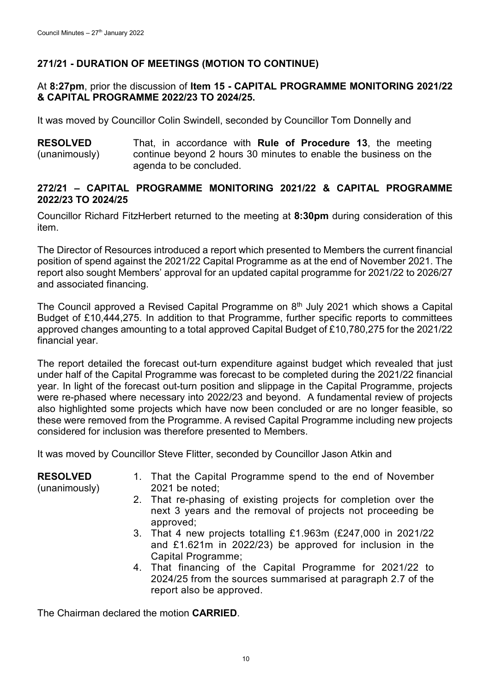# **271/21 - DURATION OF MEETINGS (MOTION TO CONTINUE)**

#### At **8:27pm**, prior the discussion of **Item 15 - CAPITAL PROGRAMME MONITORING 2021/22 & CAPITAL PROGRAMME 2022/23 TO 2024/25.**

It was moved by Councillor Colin Swindell, seconded by Councillor Tom Donnelly and

**RESOLVED** (unanimously) That, in accordance with **Rule of Procedure 13**, the meeting continue beyond 2 hours 30 minutes to enable the business on the agenda to be concluded.

## **272/21 – CAPITAL PROGRAMME MONITORING 2021/22 & CAPITAL PROGRAMME 2022/23 TO 2024/25**

Councillor Richard FitzHerbert returned to the meeting at **8:30pm** during consideration of this item.

The Director of Resources introduced a report which presented to Members the current financial position of spend against the 2021/22 Capital Programme as at the end of November 2021. The report also sought Members' approval for an updated capital programme for 2021/22 to 2026/27 and associated financing.

The Council approved a Revised Capital Programme on  $8<sup>th</sup>$  July 2021 which shows a Capital Budget of £10,444,275. In addition to that Programme, further specific reports to committees approved changes amounting to a total approved Capital Budget of £10,780,275 for the 2021/22 financial year.

The report detailed the forecast out-turn expenditure against budget which revealed that just under half of the Capital Programme was forecast to be completed during the 2021/22 financial year. In light of the forecast out-turn position and slippage in the Capital Programme, projects were re-phased where necessary into 2022/23 and beyond. A fundamental review of projects also highlighted some projects which have now been concluded or are no longer feasible, so these were removed from the Programme. A revised Capital Programme including new projects considered for inclusion was therefore presented to Members.

It was moved by Councillor Steve Flitter, seconded by Councillor Jason Atkin and

| <b>RESOLVED</b><br>(unanimously) | 1. That the Capital Programme spend to the end of November<br>$2021$ be noted;                                                                       |
|----------------------------------|------------------------------------------------------------------------------------------------------------------------------------------------------|
|                                  | 2. That re-phasing of existing projects for completion over the<br>next 3 years and the removal of projects not proceeding be<br>approved;           |
|                                  | 3. That 4 new projects totalling £1.963m (£247,000 in 2021/22<br>and £1.621m in 2022/23) be approved for inclusion in the<br>Capital Programme;      |
|                                  | 4. That financing of the Capital Programme for 2021/22 to<br>2024/25 from the sources summarised at paragraph 2.7 of the<br>report also be approved. |

The Chairman declared the motion **CARRIED**.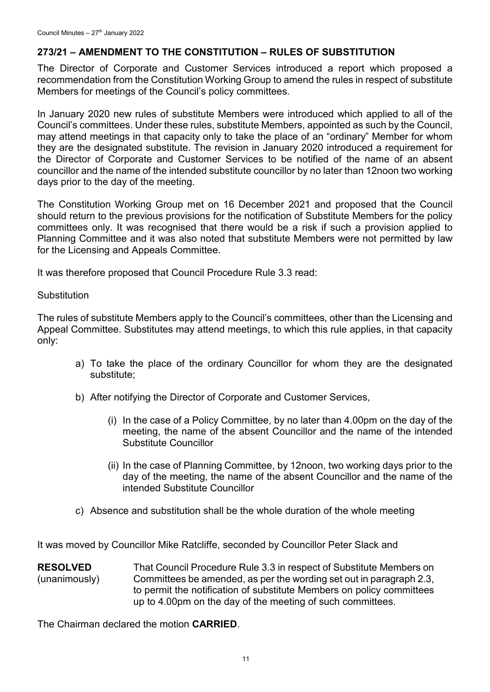# **273/21 – AMENDMENT TO THE CONSTITUTION – RULES OF SUBSTITUTION**

The Director of Corporate and Customer Services introduced a report which proposed a recommendation from the Constitution Working Group to amend the rules in respect of substitute Members for meetings of the Council's policy committees.

In January 2020 new rules of substitute Members were introduced which applied to all of the Council's committees. Under these rules, substitute Members, appointed as such by the Council, may attend meetings in that capacity only to take the place of an "ordinary" Member for whom they are the designated substitute. The revision in January 2020 introduced a requirement for the Director of Corporate and Customer Services to be notified of the name of an absent councillor and the name of the intended substitute councillor by no later than 12noon two working days prior to the day of the meeting.

The Constitution Working Group met on 16 December 2021 and proposed that the Council should return to the previous provisions for the notification of Substitute Members for the policy committees only. It was recognised that there would be a risk if such a provision applied to Planning Committee and it was also noted that substitute Members were not permitted by law for the Licensing and Appeals Committee.

It was therefore proposed that Council Procedure Rule 3.3 read:

#### **Substitution**

The rules of substitute Members apply to the Council's committees, other than the Licensing and Appeal Committee. Substitutes may attend meetings, to which this rule applies, in that capacity only:

- a) To take the place of the ordinary Councillor for whom they are the designated substitute;
- b) After notifying the Director of Corporate and Customer Services,
	- (i) In the case of a Policy Committee, by no later than 4.00pm on the day of the meeting, the name of the absent Councillor and the name of the intended Substitute Councillor
	- (ii) In the case of Planning Committee, by 12noon, two working days prior to the day of the meeting, the name of the absent Councillor and the name of the intended Substitute Councillor
- c) Absence and substitution shall be the whole duration of the whole meeting

It was moved by Councillor Mike Ratcliffe, seconded by Councillor Peter Slack and

**RESOLVED** (unanimously) That Council Procedure Rule 3.3 in respect of Substitute Members on Committees be amended, as per the wording set out in paragraph 2.3, to permit the notification of substitute Members on policy committees up to 4.00pm on the day of the meeting of such committees.

The Chairman declared the motion **CARRIED**.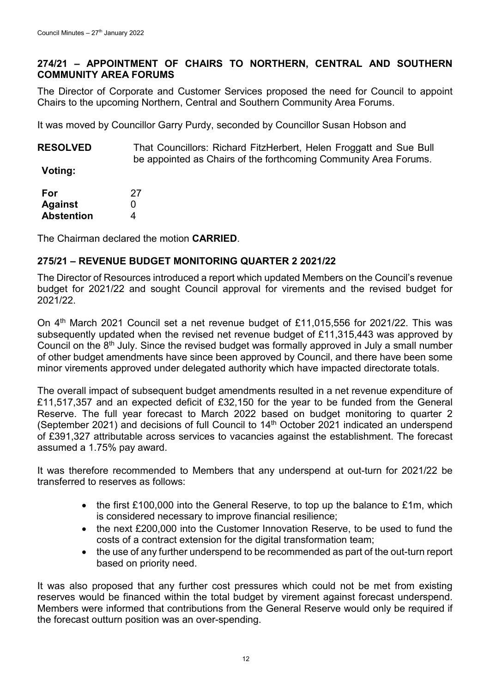## **274/21 – APPOINTMENT OF CHAIRS TO NORTHERN, CENTRAL AND SOUTHERN COMMUNITY AREA FORUMS**

The Director of Corporate and Customer Services proposed the need for Council to appoint Chairs to the upcoming Northern, Central and Southern Community Area Forums.

It was moved by Councillor Garry Purdy, seconded by Councillor Susan Hobson and

**RESOLVED** That Councillors: Richard FitzHerbert, Helen Froggatt and Sue Bull be appointed as Chairs of the forthcoming Community Area Forums.

**Voting:**

| For               | 27 |
|-------------------|----|
| <b>Against</b>    | O  |
| <b>Abstention</b> | 4  |

The Chairman declared the motion **CARRIED**.

## **275/21 – REVENUE BUDGET MONITORING QUARTER 2 2021/22**

The Director of Resources introduced a report which updated Members on the Council's revenue budget for 2021/22 and sought Council approval for virements and the revised budget for 2021/22.

On 4<sup>th</sup> March 2021 Council set a net revenue budget of £11,015,556 for 2021/22. This was subsequently updated when the revised net revenue budget of £11,315,443 was approved by Council on the  $8<sup>th</sup>$  July. Since the revised budget was formally approved in July a small number of other budget amendments have since been approved by Council, and there have been some minor virements approved under delegated authority which have impacted directorate totals.

The overall impact of subsequent budget amendments resulted in a net revenue expenditure of £11,517,357 and an expected deficit of £32,150 for the year to be funded from the General Reserve. The full year forecast to March 2022 based on budget monitoring to quarter 2 (September 2021) and decisions of full Council to 14<sup>th</sup> October 2021 indicated an underspend of £391,327 attributable across services to vacancies against the establishment. The forecast assumed a 1.75% pay award.

It was therefore recommended to Members that any underspend at out-turn for 2021/22 be transferred to reserves as follows:

- the first £100,000 into the General Reserve, to top up the balance to £1m, which is considered necessary to improve financial resilience;
- the next £200,000 into the Customer Innovation Reserve, to be used to fund the costs of a contract extension for the digital transformation team;
- the use of any further underspend to be recommended as part of the out-turn report based on priority need.

It was also proposed that any further cost pressures which could not be met from existing reserves would be financed within the total budget by virement against forecast underspend. Members were informed that contributions from the General Reserve would only be required if the forecast outturn position was an over-spending.